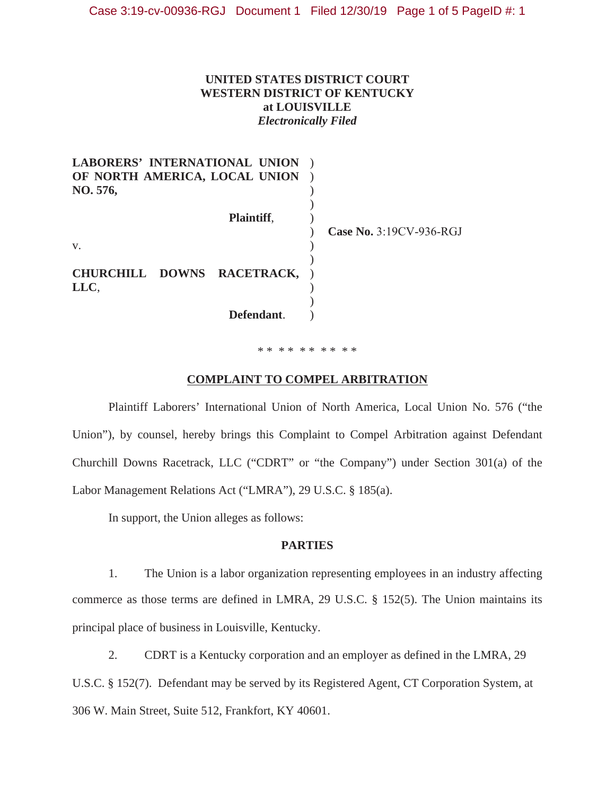# **UNITED STATES DISTRICT COURT WESTERN DISTRICT OF KENTUCKY at LOUISVILLE**  *Electronically Filed*

| <b>LABORERS' INTERNATIONAL UNION</b><br>OF NORTH AMERICA, LOCAL UNION<br>NO. 576, |            |                         |
|-----------------------------------------------------------------------------------|------------|-------------------------|
|                                                                                   | Plaintiff, | Case No. 3:19CV-936-RGJ |
| V.<br>CHURCHILL DOWNS RACETRACK,<br>LLC,                                          |            |                         |
|                                                                                   | Defendant. |                         |

#### \* \* \* \* \* \* \* \* \* \*

#### **COMPLAINT TO COMPEL ARBITRATION**

Plaintiff Laborers' International Union of North America, Local Union No. 576 ("the Union"), by counsel, hereby brings this Complaint to Compel Arbitration against Defendant Churchill Downs Racetrack, LLC ("CDRT" or "the Company") under Section 301(a) of the Labor Management Relations Act ("LMRA"), 29 U.S.C. § 185(a).

In support, the Union alleges as follows:

## **PARTIES**

1. The Union is a labor organization representing employees in an industry affecting commerce as those terms are defined in LMRA, 29 U.S.C. § 152(5). The Union maintains its principal place of business in Louisville, Kentucky.

2. CDRT is a Kentucky corporation and an employer as defined in the LMRA, 29

U.S.C. § 152(7). Defendant may be served by its Registered Agent, CT Corporation System, at 306 W. Main Street, Suite 512, Frankfort, KY 4061.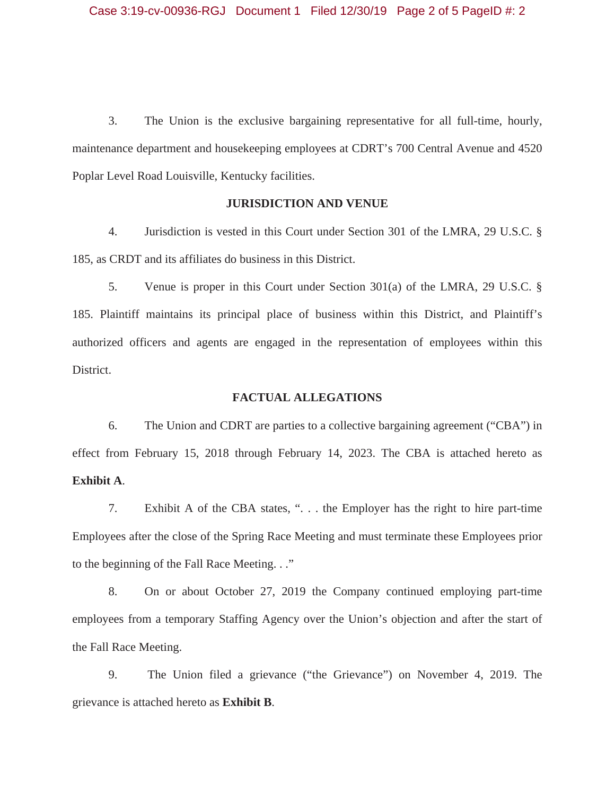3. The Union is the exclusive bargaining representative for all full-time, hourly, maintenance department and housekeeping employees at CDRT's 700 Central Avenue and 4520 Poplar Level Road Louisville, Kentucky facilities.

#### **JURISDICTION AND VENUE**

 4. Jurisdiction is vested in this Court under Section 301 of the LMRA, 29 U.S.C. § 185, as CRDT and its affiliates do business in this District.

 5. Venue is proper in this Court under Section 301(a) of the LMRA, 29 U.S.C. § 185. Plaintiff maintains its principal place of business within this District, and Plaintiff's authorized officers and agents are engaged in the representation of employees within this District.

# **FACTUAL ALLEGATIONS**

 6. The Union and CDRT are parties to a collective bargaining agreement ("CBA") in effect from February 15, 2018 through February 14, 2023. The CBA is attached hereto as **Exhibit A**.

 7. Exhibit A of the CBA states, ". . . the Employer has the right to hire part-time Employees after the close of the Spring Race Meeting and must terminate these Employees prior to the beginning of the Fall Race Meeting. . ."

 8. On or about October 27, 2019 the Company continued employing part-time employees from a temporary Staffing Agency over the Union's objection and after the start of the Fall Race Meeting.

 9. The Union filed a grievance ("the Grievance") on November 4, 2019. The grievance is attached hereto as **Exhibit B**.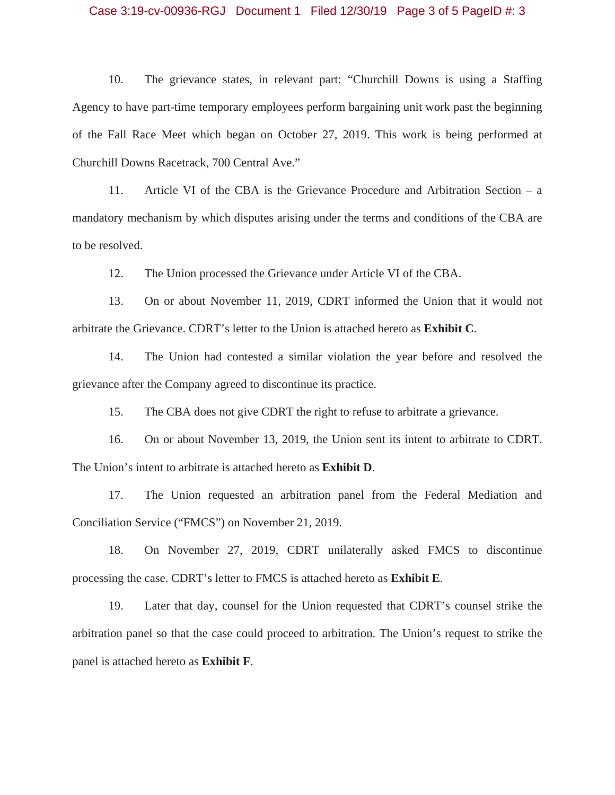#### Case 3:19-cv-00936-RGJ Document 1 Filed 12/30/19 Page 3 of 5 PageID #: 3

 10. The grievance states, in relevant part: "Churchill Downs is using a Staffing Agency to have part-time temporary employees perform bargaining unit work past the beginning of the Fall Race Meet which began on October 27, 2019. This work is being performed at Churchill Downs Racetrack, 700 Central Ave."

 11. Article VI of the CBA is the Grievance Procedure and Arbitration Section – a mandatory mechanism by which disputes arising under the terms and conditions of the CBA are to be resolved.

12. The Union processed the Grievance under Article VI of the CBA.

 13. On or about November 11, 2019, CDRT informed the Union that it would not arbitrate the Grievance. CDRT's letter to the Union is attached hereto as **Exhibit C**.

 14. The Union had contested a similar violation the year before and resolved the grievance after the Company agreed to discontinue its practice.

15. The CBA does not give CDRT the right to refuse to arbitrate a grievance.

 16. On or about November 13, 2019, the Union sent its intent to arbitrate to CDRT. The Union's intent to arbitrate is attached hereto as **Exhibit D**.

 17. The Union requested an arbitration panel from the Federal Mediation and Conciliation Service ("FMCS") on November 21, 2019.

 18. On November 27, 2019, CDRT unilaterally asked FMCS to discontinue processing the case. CDRT's letter to FMCS is attached hereto as **Exhibit E**.

 19. Later that day, counsel for the Union requested that CDRT's counsel strike the arbitration panel so that the case could proceed to arbitration. The Union's request to strike the panel is attached hereto as **Exhibit F**.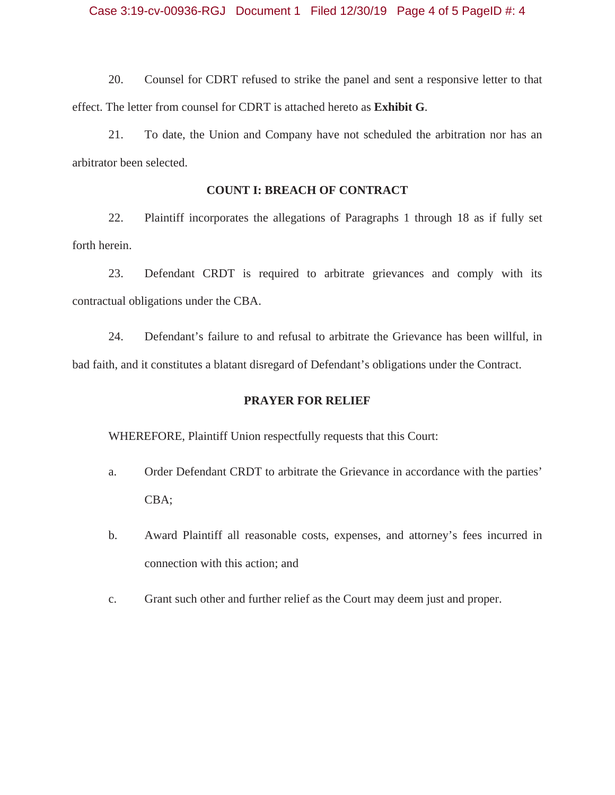20. Counsel for CDRT refused to strike the panel and sent a responsive letter to that effect. The letter from counsel for CDRT is attached hereto as **Exhibit G**.

 21. To date, the Union and Company have not scheduled the arbitration nor has an arbitrator been selected.

# **COUNT I: BREACH OF CONTRACT**

 22. Plaintiff incorporates the allegations of Paragraphs 1 through 18 as if fully set forth herein.

 23. Defendant CRDT is required to arbitrate grievances and comply with its contractual obligations under the CBA.

 24. Defendant's failure to and refusal to arbitrate the Grievance has been willful, in bad faith, and it constitutes a blatant disregard of Defendant's obligations under the Contract.

## **PRAYER FOR RELIEF**

WHEREFORE, Plaintiff Union respectfully requests that this Court:

- a. Order Defendant CRDT to arbitrate the Grievance in accordance with the parties' CBA;
- b. Award Plaintiff all reasonable costs, expenses, and attorney's fees incurred in connection with this action; and
- c. Grant such other and further relief as the Court may deem just and proper.